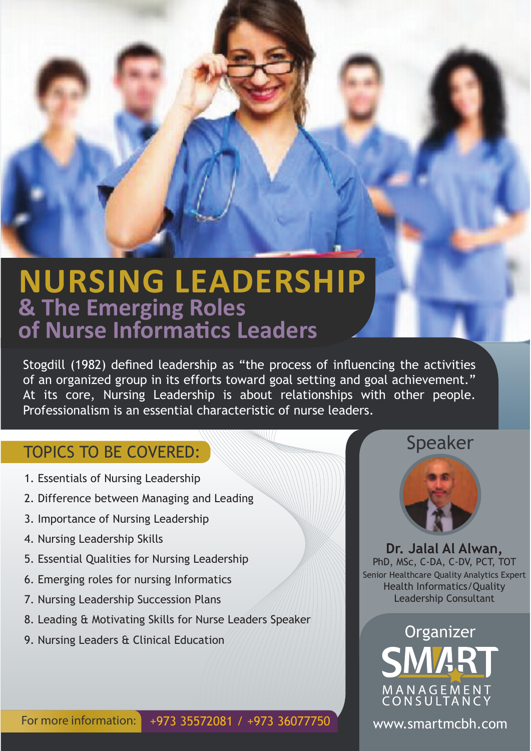## **NURSING LEADERSHIP & The Emerging Roles** of Nurse Informatics Leaders

Stogdill (1982) defned leadership as "the process of infuencing the activities of an organized group in its efforts toward goal setting and goal achievement." At its core, Nursing Leadership is about relationships with other people. Professionalism is an essential characteristic of nurse leaders.

### TOPICS TO BE COVERED:

- 1. Essentials of Nursing Leadership
- 2. Difference between Managing and Leading
- 3. Importance of Nursing Leadership
- 4. Nursing Leadership Skills
- 5. Essential Qualities for Nursing Leadership
- 6. Emerging roles for nursing Informatics
- 7. Nursing Leadership Succession Plans
- 8. Leading & Motivating Skills for Nurse Leaders Speaker
- 9. Nursing Leaders & Clinical Education

#### For more information: +973 35572081 / +973 36077750

#### Speaker



**Dr. Jalal Al Alwan,** PhD, MSc, C-DA, C-DV, PCT, TOT Senior Healthcare Quality Analytics Expert Health Informatics/Quality Leadership Consultant

# **Organizer** SMART M A N A G E M E N T<br>C O N S U L T A N C Y

www.smartmcbh.com